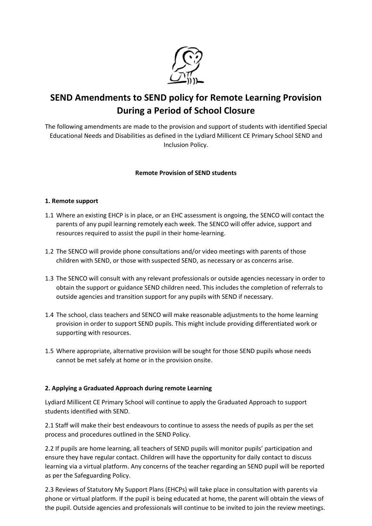

# **SEND Amendments to SEND policy for Remote Learning Provision During a Period of School Closure**

The following amendments are made to the provision and support of students with identified Special Educational Needs and Disabilities as defined in the Lydiard Millicent CE Primary School SEND and Inclusion Policy.

# **Remote Provision of SEND students**

# **1. Remote support**

- 1.1 Where an existing EHCP is in place, or an EHC assessment is ongoing, the SENCO will contact the parents of any pupil learning remotely each week. The SENCO will offer advice, support and resources required to assist the pupil in their home-learning.
- 1.2 The SENCO will provide phone consultations and/or video meetings with parents of those children with SEND, or those with suspected SEND, as necessary or as concerns arise.
- 1.3 The SENCO will consult with any relevant professionals or outside agencies necessary in order to obtain the support or guidance SEND children need. This includes the completion of referrals to outside agencies and transition support for any pupils with SEND if necessary.
- 1.4 The school, class teachers and SENCO will make reasonable adjustments to the home learning provision in order to support SEND pupils. This might include providing differentiated work or supporting with resources.
- 1.5 Where appropriate, alternative provision will be sought for those SEND pupils whose needs cannot be met safely at home or in the provision onsite.

## **2. Applying a Graduated Approach during remote Learning**

Lydiard Millicent CE Primary School will continue to apply the Graduated Approach to support students identified with SEND.

2.1 Staff will make their best endeavours to continue to assess the needs of pupils as per the set process and procedures outlined in the SEND Policy.

2.2 If pupils are home learning, all teachers of SEND pupils will monitor pupils' participation and ensure they have regular contact. Children will have the opportunity for daily contact to discuss learning via a virtual platform. Any concerns of the teacher regarding an SEND pupil will be reported as per the Safeguarding Policy.

2.3 Reviews of Statutory My Support Plans (EHCPs) will take place in consultation with parents via phone or virtual platform. If the pupil is being educated at home, the parent will obtain the views of the pupil. Outside agencies and professionals will continue to be invited to join the review meetings.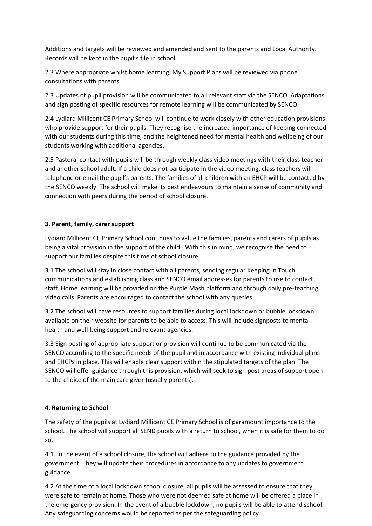Additions and targets will be reviewed and amended and sent to the parents and Local Authority. Records will be kept in the pupil's file in school.

2.3 Where appropriate whilst home learning, My Support Plans will be reviewed via phone consultations with parents.

2.3 Updates of pupil provision will be communicated to all relevant staff via the SENCO. Adaptations and sign posting of specific resources for remote learning will be communicated by SENCO.

2.4 Lydiard Millicent CE Primary School will continue to work closely with other education provisions who provide support for their pupils. They recognise the increased importance of keeping connected with our students during this time, and the heightened need for mental health and wellbeing of our students working with additional agencies.

2.5 Pastoral contact with pupils will be through weekly class video meetings with their class teacher and another school adult. If a child does not participate in the video meeting, class teachers will telephone or email the pupil's parents. The families of all children with an EHCP will be contacted by the SENCO weekly. The school will make its best endeavours to maintain a sense of community and connection with peers during the period of school closure.

## **3. Parent, family, carer support**

Lydiard Millicent CE Primary School continues to value the families, parents and carers of pupils as being a vital provision in the support of the child. With this in mind, we recognise the need to support our families despite this time of school closure.

3.1 The school will stay in close contact with all parents, sending regular Keeping In Touch communications and establishing class and SENCO email addresses for parents to use to contact staff. Home learning will be provided on the Purple Mash platform and through daily pre-teaching video calls. Parents are encouraged to contact the school with any queries.

3.2 The school will have resources to support families during local lockdown or bubble lockdown available on their website for parents to be able to access. This will include signposts to mental health and well-being support and relevant agencies.

3.3 Sign posting of appropriate support or provision will continue to be communicated via the SENCO according to the specific needs of the pupil and in accordance with existing individual plans and EHCPs in place. This will enable clear support within the stipulated targets of the plan. The SENCO will offer guidance through this provision, which will seek to sign post areas of support open to the choice of the main care giver (usually parents).

### **4. Returning to School**

The safety of the pupils at Lydiard Millicent CE Primary School is of paramount importance to the school. The school will support all SEND pupils with a return to school, when it is safe for them to do so.

4.1. In the event of a school closure, the school will adhere to the guidance provided by the government. They will update their procedures in accordance to any updates to government guidance.

4.2 At the time of a local lockdown school closure, all pupils will be assessed to ensure that they were safe to remain at home. Those who were not deemed safe at home will be offered a place in the emergency provision. In the event of a bubble lockdown, no pupils will be able to attend school. Any safeguarding concerns would be reported as per the safeguarding policy.